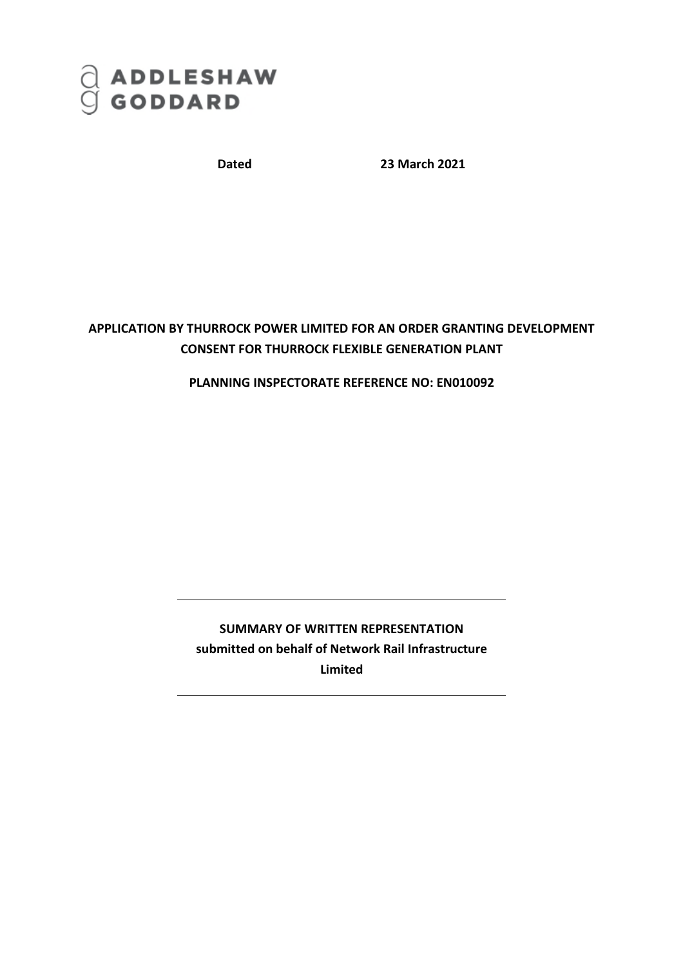

**Dated 23 March 2021**

## **APPLICATION BY THURROCK POWER LIMITED FOR AN ORDER GRANTING DEVELOPMENT CONSENT FOR THURROCK FLEXIBLE GENERATION PLANT**

## **PLANNING INSPECTORATE REFERENCE NO: EN010092**

## **SUMMARY OF WRITTEN REPRESENTATION submitted on behalf of Network Rail Infrastructure Limited**